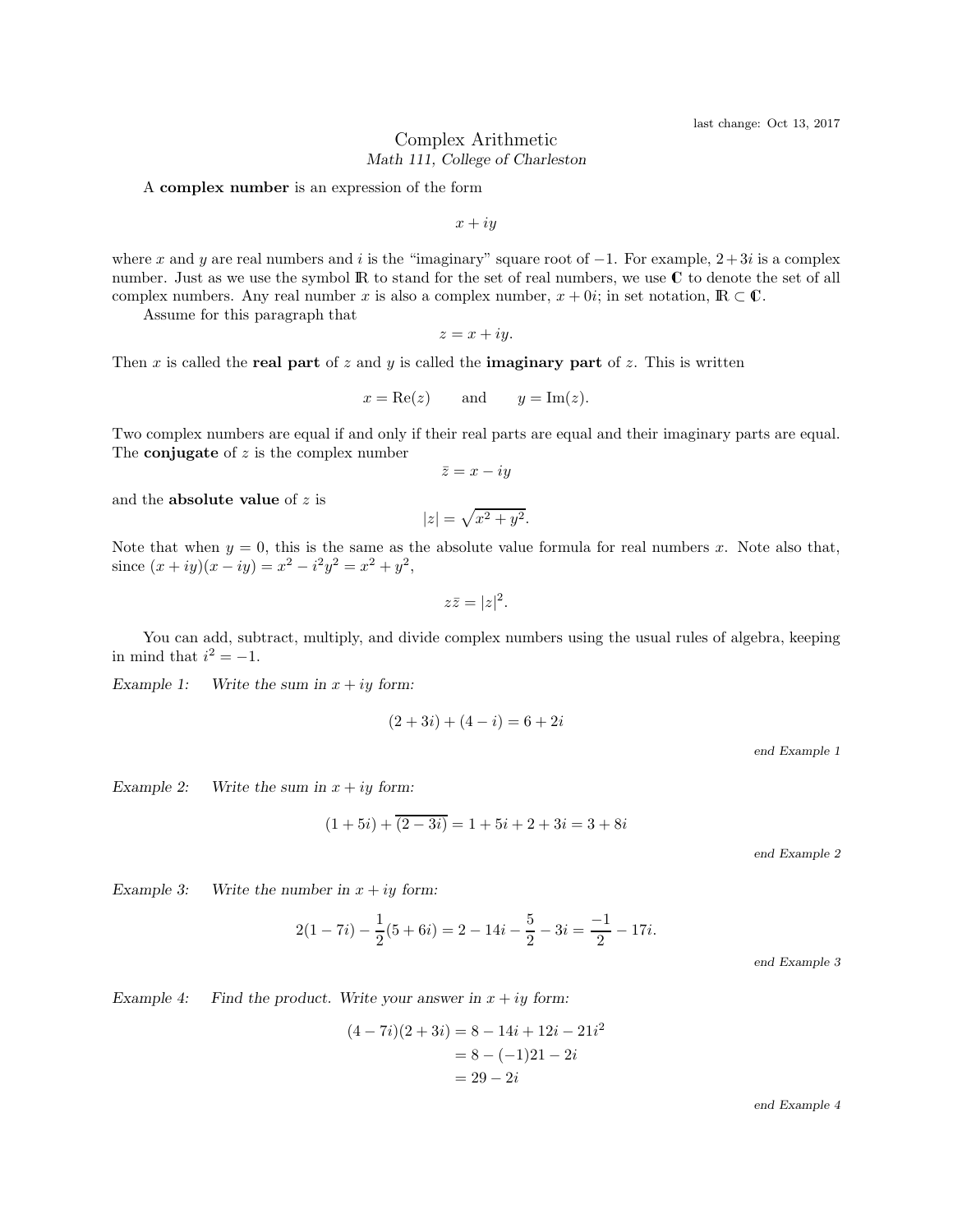## Complex Arithmetic *Math 111, College of Charleston*

A complex number is an expression of the form

 $x + iy$ 

where x and y are real numbers and i is the "imaginary" square root of  $-1$ . For example,  $2+3i$  is a complex number. Just as we use the symbol  $\mathbb R$  to stand for the set of real numbers, we use  $\mathbb C$  to denote the set of all complex numbers. Any real number x is also a complex number,  $x + 0i$ ; in set notation,  $\mathbb{R} \subset \mathbb{C}$ .

Assume for this paragraph that

$$
z = x + iy.
$$

Then x is called the real part of z and y is called the **imaginary part** of z. This is written

$$
x = \text{Re}(z)
$$
 and  $y = \text{Im}(z)$ .

Two complex numbers are equal if and only if their real parts are equal and their imaginary parts are equal. The **conjugate** of  $z$  is the complex number

$$
\bar{z} = x - iy
$$

and the **absolute value** of  $z$  is

$$
|z| = \sqrt{x^2 + y^2}.
$$

Note that when  $y = 0$ , this is the same as the absolute value formula for real numbers x. Note also that, since  $(x+iy)(x-iy) = x^2 - i^2y^2 = x^2 + y^2$ ,

 $z\bar{z} = |z|^2.$ 

You can add, subtract, multiply, and divide complex numbers using the usual rules of algebra, keeping in mind that  $i^2 = -1$ .

*Example 1:* Write the sum in  $x + iy$  form:

$$
(2+3i) + (4-i) = 6+2i
$$

end Example 1

*Example 2:* Write the sum in  $x + iy$  form:

$$
(1+5i) + \overline{(2-3i)} = 1 + 5i + 2 + 3i = 3 + 8i
$$

end Example 2

*Example 3:* Write the number in  $x + iy$  form:

$$
2(1-7i) - \frac{1}{2}(5+6i) = 2 - 14i - \frac{5}{2} - 3i = \frac{-1}{2} - 17i.
$$

end Example 3

*Example 4:* Find the product. Write your answer in  $x + iy$  form:

$$
(4-7i)(2+3i) = 8 - 14i + 12i - 21i2
$$
  
= 8 - (-1)21 - 2i  
= 29 - 2i

end Example 4